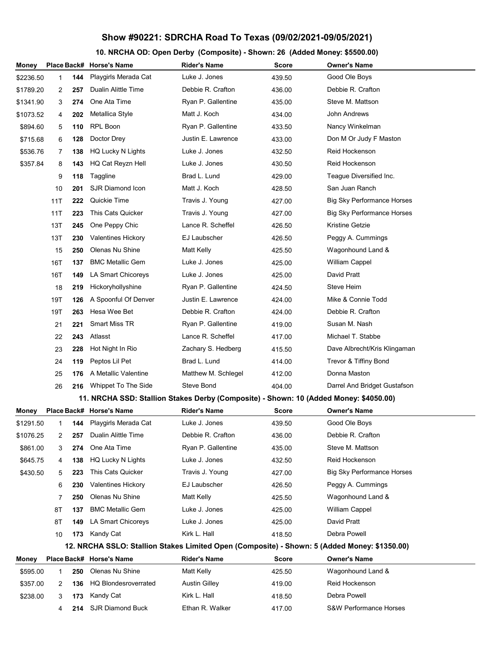## **Show #90221: SDRCHA Road To Texas (09/02/2021-09/05/2021)**

## **10. NRCHA OD: Open Derby (Composite) - Shown: 26 (Added Money: \$5500.00)**

| Money                                                                                        |     |     | Place Back# Horse's Name                                                              | <b>Rider's Name</b>  | <b>Score</b> | Owner's Name                      |  |  |  |
|----------------------------------------------------------------------------------------------|-----|-----|---------------------------------------------------------------------------------------|----------------------|--------------|-----------------------------------|--|--|--|
| \$2236.50                                                                                    | 1   | 144 | Playgirls Merada Cat                                                                  | Luke J. Jones        | 439.50       | Good Ole Boys                     |  |  |  |
| \$1789.20                                                                                    | 2   | 257 | Dualin Alittle Time                                                                   | Debbie R. Crafton    | 436.00       | Debbie R. Crafton                 |  |  |  |
| \$1341.90                                                                                    | 3   | 274 | One Ata Time                                                                          | Ryan P. Gallentine   | 435.00       | Steve M. Mattson                  |  |  |  |
| \$1073.52                                                                                    | 4   | 202 | Metallica Style                                                                       | Matt J. Koch         | 434.00       | John Andrews                      |  |  |  |
| \$894.60                                                                                     | 5   | 110 | RPL Boon                                                                              | Ryan P. Gallentine   | 433.50       | Nancy Winkelman                   |  |  |  |
| \$715.68                                                                                     | 6   | 128 | Doctor Drey                                                                           | Justin E. Lawrence   | 433.00       | Don M Or Judy F Maston            |  |  |  |
| \$536.76                                                                                     | 7   | 138 | HQ Lucky N Lights                                                                     | Luke J. Jones        | 432.50       | Reid Hockenson                    |  |  |  |
| \$357.84                                                                                     | 8   | 143 | HQ Cat Reyzn Hell                                                                     | Luke J. Jones        | 430.50       | Reid Hockenson                    |  |  |  |
|                                                                                              | 9   | 118 | Taggline                                                                              | Brad L. Lund         | 429.00       | Teague Diversified Inc.           |  |  |  |
|                                                                                              | 10  | 201 | SJR Diamond Icon                                                                      | Matt J. Koch         | 428.50       | San Juan Ranch                    |  |  |  |
|                                                                                              | 11T | 222 | Quickie Time                                                                          | Travis J. Young      | 427.00       | <b>Big Sky Performance Horses</b> |  |  |  |
|                                                                                              | 11T | 223 | This Cats Quicker                                                                     | Travis J. Young      | 427.00       | <b>Big Sky Performance Horses</b> |  |  |  |
|                                                                                              | 13T | 245 | One Peppy Chic                                                                        | Lance R. Scheffel    | 426.50       | Kristine Getzie                   |  |  |  |
|                                                                                              | 13T | 230 | <b>Valentines Hickory</b>                                                             | EJ Laubscher         | 426.50       | Peggy A. Cummings                 |  |  |  |
|                                                                                              | 15  | 250 | Olenas Nu Shine                                                                       | Matt Kelly           | 425.50       | Wagonhound Land &                 |  |  |  |
|                                                                                              | 16T | 137 | <b>BMC Metallic Gem</b>                                                               | Luke J. Jones        | 425.00       | <b>William Cappel</b>             |  |  |  |
|                                                                                              | 16T | 149 | LA Smart Chicoreys                                                                    | Luke J. Jones        | 425.00       | David Pratt                       |  |  |  |
|                                                                                              | 18  | 219 | Hickoryhollyshine                                                                     | Ryan P. Gallentine   | 424.50       | <b>Steve Heim</b>                 |  |  |  |
|                                                                                              | 19T | 126 | A Spoonful Of Denver                                                                  | Justin E. Lawrence   | 424.00       | Mike & Connie Todd                |  |  |  |
|                                                                                              | 19T | 263 | Hesa Wee Bet                                                                          | Debbie R. Crafton    | 424.00       | Debbie R. Crafton                 |  |  |  |
|                                                                                              | 21  | 221 | Smart Miss TR                                                                         | Ryan P. Gallentine   | 419.00       | Susan M. Nash                     |  |  |  |
|                                                                                              | 22  | 243 | Atlasst                                                                               | Lance R. Scheffel    | 417.00       | Michael T. Stabbe                 |  |  |  |
|                                                                                              | 23  | 228 | Hot Night In Rio                                                                      | Zachary S. Hedberg   | 415.50       | Dave Albrecht/Kris Klingaman      |  |  |  |
|                                                                                              | 24  | 119 | Peptos Lil Pet                                                                        | Brad L. Lund         | 414.00       | Trevor & Tiffiny Bond             |  |  |  |
|                                                                                              | 25  | 176 | A Metallic Valentine                                                                  | Matthew M. Schlegel  | 412.00       | Donna Maston                      |  |  |  |
|                                                                                              | 26  | 216 | Whippet To The Side                                                                   | Steve Bond           | 404.00       | Darrel And Bridget Gustafson      |  |  |  |
|                                                                                              |     |     | 11. NRCHA SSD: Stallion Stakes Derby (Composite) - Shown: 10 (Added Money: \$4050.00) |                      |              |                                   |  |  |  |
| Money                                                                                        |     |     | Place Back# Horse's Name                                                              | <b>Rider's Name</b>  | <b>Score</b> | <b>Owner's Name</b>               |  |  |  |
| \$1291.50                                                                                    | 1   |     | <b>144</b> Playgirls Merada Cat                                                       | Luke J. Jones        | 439.50       | Good Ole Boys                     |  |  |  |
| \$1076.25                                                                                    | 2   | 257 | Dualin Alittle Time                                                                   | Debbie R. Crafton    | 436.00       | Debbie R. Crafton                 |  |  |  |
| \$861.00                                                                                     | 3   | 274 | One Ata Time                                                                          | Ryan P. Gallentine   | 435.00       | Steve M. Mattson                  |  |  |  |
| \$645.75                                                                                     | 4   | 138 | HQ Lucky N Lights                                                                     | Luke J. Jones        | 432.50       | Reid Hockenson                    |  |  |  |
| \$430.50                                                                                     | 5   | 223 | This Cats Quicker                                                                     | Travis J. Young      | 427.00       | <b>Big Sky Performance Horses</b> |  |  |  |
|                                                                                              | 6   | 230 | Valentines Hickory                                                                    | EJ Laubscher         | 426.50       | Peggy A. Cummings                 |  |  |  |
|                                                                                              | 7   | 250 | Olenas Nu Shine                                                                       | Matt Kelly           | 425.50       | Wagonhound Land &                 |  |  |  |
|                                                                                              | 8T  | 137 | <b>BMC Metallic Gem</b>                                                               | Luke J. Jones        | 425.00       | <b>William Cappel</b>             |  |  |  |
|                                                                                              | 8Τ  | 149 | LA Smart Chicoreys                                                                    | Luke J. Jones        | 425.00       | David Pratt                       |  |  |  |
|                                                                                              | 10  | 173 | Kandy Cat                                                                             | Kirk L. Hall         | 418.50       | Debra Powell                      |  |  |  |
| 12. NRCHA SSLO: Stallion Stakes Limited Open (Composite) - Shown: 5 (Added Money: \$1350.00) |     |     |                                                                                       |                      |              |                                   |  |  |  |
| Money                                                                                        |     |     | Place Back# Horse's Name                                                              | <b>Rider's Name</b>  | Score        | <b>Owner's Name</b>               |  |  |  |
| \$595.00                                                                                     | 1   | 250 | Olenas Nu Shine                                                                       | Matt Kelly           | 425.50       | Wagonhound Land &                 |  |  |  |
| \$357.00                                                                                     | 2   | 136 | <b>HQ Blondesroverrated</b>                                                           | <b>Austin Gilley</b> | 419.00       | Reid Hockenson                    |  |  |  |
| \$238.00                                                                                     | 3   | 173 | Kandy Cat                                                                             | Kirk L. Hall         | 418.50       | Debra Powell                      |  |  |  |
|                                                                                              | 4   | 214 | <b>SJR Diamond Buck</b>                                                               | Ethan R. Walker      | 417.00       | S&W Performance Horses            |  |  |  |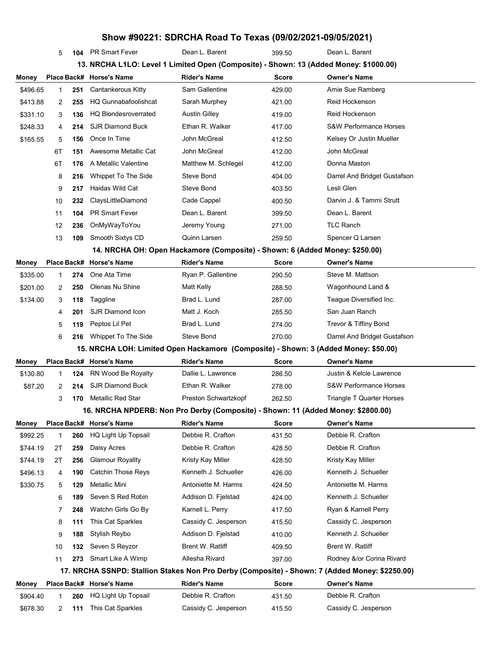## 5 **104** PR Smart Fever Dean L. Barent 399.50 Dean L. Barent **13. NRCHA L1LO: Level 1 Limited Open (Composite) - Shown: 13 (Added Money: \$1000.00) Money Place Back# Horse's Name Rider's Name Score Owner's Name** \$496.65 1 **251** Cantankerous Kitty Sam Gallentine 429.00 Amie Sue Ramberg \$413.88 2 **255** HQ Gunnabafoolishcat Sarah Murphey 421.00 Reid Hockenson \$331.10 3 **136** HQ Blondesroverrated Austin Gilley 419.00 Reid Hockenson \$248.33 4 **214** SJR Diamond Buck Ethan R. Walker 417.00 S&W Performance Horses \$165.55 5 **156** Once In Time John McGreal 412.50 Kelsey Or Justin Mueller 6T **151** Awesome Metallic Cat John McGreal 412.00 John McGreal 6T **176** A Metallic Valentine Matthew M. Schlegel 412.00 Donna Maston 8 **216** Whippet To The Side Steve Bond 404.00 Darrel And Bridget Gustafson 9 **217** Haidas Wild Cat Steve Bond 403.50 Lesli Glen 10 **232** ClaysLittleDiamond Cade Cappel 400.50 Darvin J. & Tammi Strutt 11 **104** PR Smart Fever Dean L. Barent 399.50 Dean L. Barent 12 **236** OnMyWayToYou Jeremy Young 271.00 TLC Ranch 13 **109** Smooth Sixtys CD Quinn Larsen 259.50 Spencer Q Larsen **14. NRCHA OH: Open Hackamore (Composite) - Shown: 6 (Added Money: \$250.00) Money Place Back# Horse's Name Rider's Name Score Owner's Name** \$335.00 1 **274** One Ata Time Ryan P. Gallentine 290.50 Steve M. Mattson \$201.00 2 **250** Olenas Nu Shine Matt Kelly 288.50 Wagonhound Land & \$134.00 3 **118** Taggline Brad L. Lund 287.00 Teague Diversified Inc. 4 **201** SJR Diamond Icon Matt J. Koch 285.50 San Juan Ranch 5 **119** Peptos Lil Pet Brad L. Lund 274.00 Trevor & Tiffiny Bond 6 **216** Whippet To The Side Steve Bond 270.00 Darrel And Bridget Gustafson **15. NRCHA LOH: Limited Open Hackamore (Composite) - Shown: 3 (Added Money: \$50.00) Money Place Back# Horse's Name Rider's Name Score Owner's Name** \$130.80 1 **124** RN Wood Be Royalty Dallie L. Lawrence 286.50 Justin & Kelcie Lawrence \$87.20 2 **214** SJR Diamond Buck Ethan R. Walker 278.00 S&W Performance Horses 3 **170** Metallic Red Star Preston Schwartzkopf 262.50 Triangle T Quarter Horses **16. NRCHA NPDERB: Non Pro Derby (Composite) - Shown: 11 (Added Money: \$2800.00) Money Place Back# Horse's Name Rider's Name Score Owner's Name** \$992.25 1 **260** HQ Light Up Topsail Debbie R. Crafton 431.50 Debbie R. Crafton \$744.19 2T **259** Daisy Acres Debbie R. Crafton 428.50 Debbie R. Crafton \$744.19 2T **256** Glamour Royallty Kristy Kay Miller 428.50 Kristy Kay Miller \$496.13 4 **190** Catchin Those Reys Kenneth J. Schueller 426.00 Kenneth J. Schueller \$330.75 5 **129** Metallic Mini **Antoniette M. Harms** 424.50 Antoniette M. Harms 6 **189** Seven S Red Robin Addison D. Fjelstad 424.00 Kenneth J. Schueller 7 **248** Watchn Girls Go By Karnell L. Perry 417.50 Ryan & Karnell Perry 8 **111** This Cat Sparkles Cassidy C. Jesperson 415.50 Cassidy C. Jesperson 9 **188** Stylish Reybo Addison D. Fjelstad 410.00 Kenneth J. Schueller 10 **132** Seven S Reyzor **Brent W. Ratliff** 409.50 Brent W. Ratliff 11 **273** Smart Like A Wimp Allesha Rivard 397.00 Rodney &/or Corina Rivard **17. NRCHA SSNPD: Stallion Stakes Non Pro Derby (Composite) - Shown: 7 (Added Money: \$2250.00) Money Place Back# Horse's Name Rider's Name Score Owner's Name** \$904.40 1 **260** HQ Light Up Topsail Debbie R. Crafton 431.50 Debbie R. Crafton \$678.30 2 **111** This Cat Sparkles Cassidy C. Jesperson 415.50 Cassidy C. Jesperson

**Show #90221: SDRCHA Road To Texas (09/02/2021-09/05/2021)**